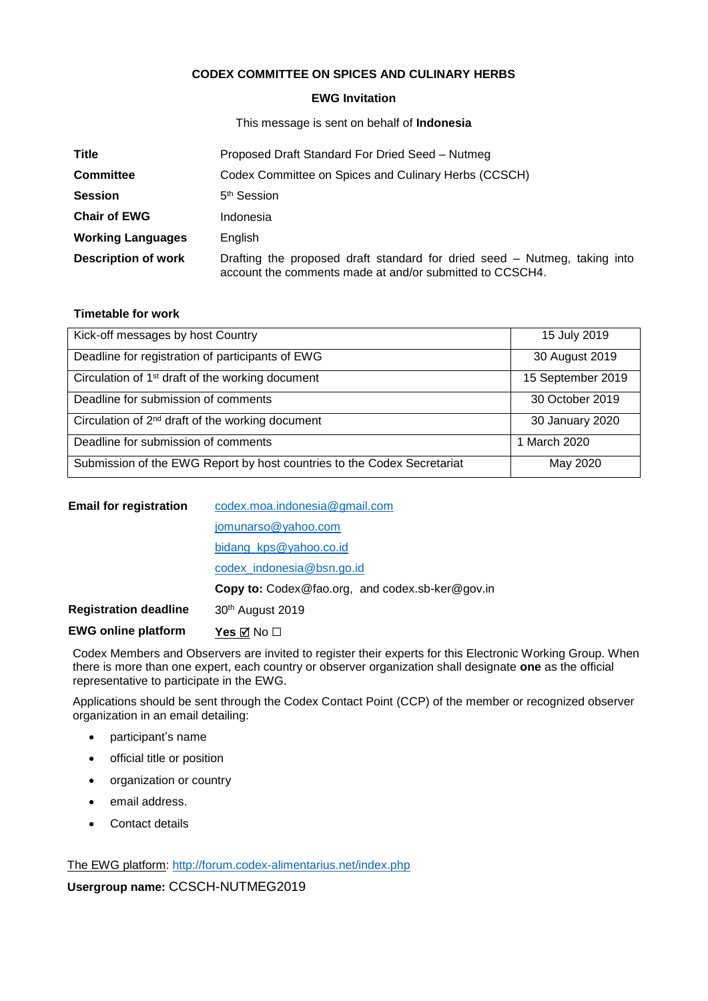# **CODEX COMMITTEE ON SPICES AND CULINARY HERBS**

## **EWG Invitation**

This message is sent on behalf of **Indonesia**

| <b>Title</b>               | Proposed Draft Standard For Dried Seed – Nutmeg                                                                                       |
|----------------------------|---------------------------------------------------------------------------------------------------------------------------------------|
| <b>Committee</b>           | Codex Committee on Spices and Culinary Herbs (CCSCH)                                                                                  |
| <b>Session</b>             | 5 <sup>th</sup> Session                                                                                                               |
| <b>Chair of EWG</b>        | Indonesia                                                                                                                             |
| <b>Working Languages</b>   | English                                                                                                                               |
| <b>Description of work</b> | Drafting the proposed draft standard for dried seed – Nutmeg, taking into<br>account the comments made at and/or submitted to CCSCH4. |

### **Timetable for work**

| Kick-off messages by host Country                                       | 15 July 2019      |
|-------------------------------------------------------------------------|-------------------|
| Deadline for registration of participants of EWG                        | 30 August 2019    |
| Circulation of 1 <sup>st</sup> draft of the working document            | 15 September 2019 |
| Deadline for submission of comments                                     | 30 October 2019   |
| Circulation of 2 <sup>nd</sup> draft of the working document            | 30 January 2020   |
| Deadline for submission of comments                                     | 1 March 2020      |
| Submission of the EWG Report by host countries to the Codex Secretariat | May 2020          |

| <b>Email for registration</b> | codex.moa.indonesia@gmail.com                   |
|-------------------------------|-------------------------------------------------|
|                               | jomunarso@yahoo.com                             |
|                               | bidang_kps@yahoo.co.id                          |
|                               | codex indonesia@bsn.go.id                       |
|                               | Copy to: Codex@fao.org, and codex.sb-ker@gov.in |
| <b>Registration deadline</b>  | 30th August 2019                                |
| <b>EWG online platform</b>    | Yes ⊠ No ⊟                                      |

Codex Members and Observers are invited to register their experts for this Electronic Working Group. When there is more than one expert, each country or observer organization shall designate **one** as the official representative to participate in the EWG.

Applications should be sent through the Codex Contact Point (CCP) of the member or recognized observer organization in an email detailing:

- participant's name
- official title or position
- organization or country
- email address.
- Contact details

## The EWG platform:<http://forum.codex-alimentarius.net/index.php>

**Usergroup name:** CCSCH-NUTMEG2019